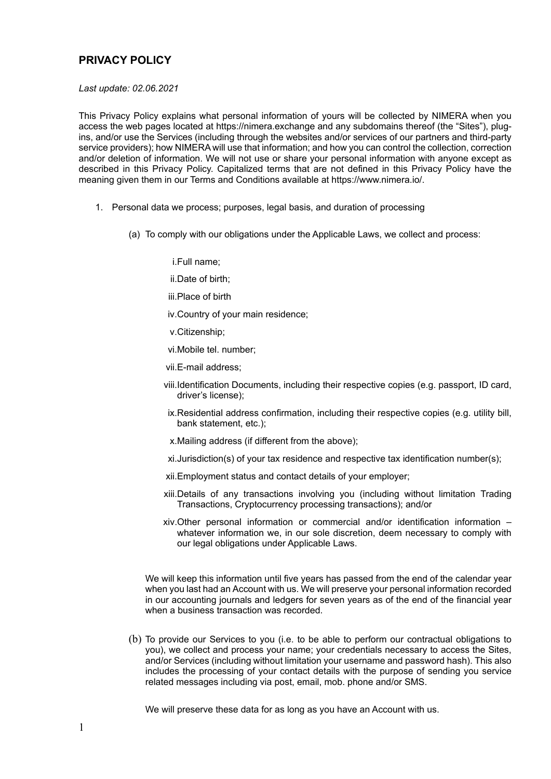## **PRIVACY POLICY**

*Last update: 02.06.2021*

This Privacy Policy explains what personal information of yours will be collected by NIMERA when you access the web pages located at https://nimera.exchange and any subdomains thereof (the "Sites"), plugins, and/or use the Services (including through the websites and/or services of our partners and third-party service providers); how NIMERA will use that information; and how you can control the collection, correction and/or deletion of information. We will not use or share your personal information with anyone except as described in this Privacy Policy. Capitalized terms that are not defined in this Privacy Policy have the meaning given them in our Terms and Conditions available at https://www.nimera.io/.

- 1. Personal data we process; purposes, legal basis, and duration of processing
	- (a) To comply with our obligations under the Applicable Laws, we collect and process:

i.Full name;

ii.Date of birth;

iii.Place of birth

iv.Country of your main residence;

v.Citizenship;

vi.Mobile tel. number;

vii.E-mail address;

- viii.Identification Documents, including their respective copies (e.g. passport, ID card, driver's license);
- ix.Residential address confirmation, including their respective copies (e.g. utility bill, bank statement, etc.);
- x.Mailing address (if different from the above);
- xi.Jurisdiction(s) of your tax residence and respective tax identification number(s);
- xii.Employment status and contact details of your employer;
- xiii.Details of any transactions involving you (including without limitation Trading Transactions, Cryptocurrency processing transactions); and/or
- xiv.Other personal information or commercial and/or identification information whatever information we, in our sole discretion, deem necessary to comply with our legal obligations under Applicable Laws.

We will keep this information until five years has passed from the end of the calendar year when you last had an Account with us. We will preserve your personal information recorded in our accounting journals and ledgers for seven years as of the end of the financial year when a business transaction was recorded.

(b) To provide our Services to you (i.e. to be able to perform our contractual obligations to you), we collect and process your name; your credentials necessary to access the Sites, and/or Services (including without limitation your username and password hash). This also includes the processing of your contact details with the purpose of sending you service related messages including via post, email, mob. phone and/or SMS.

We will preserve these data for as long as you have an Account with us.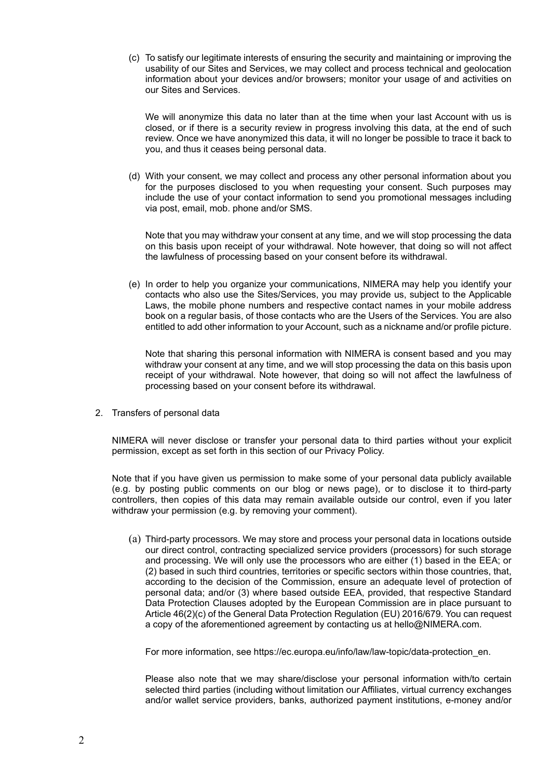(c) To satisfy our legitimate interests of ensuring the security and maintaining or improving the usability of our Sites and Services, we may collect and process technical and geolocation information about your devices and/or browsers; monitor your usage of and activities on our Sites and Services.

We will anonymize this data no later than at the time when your last Account with us is closed, or if there is a security review in progress involving this data, at the end of such review. Once we have anonymized this data, it will no longer be possible to trace it back to you, and thus it ceases being personal data.

(d) With your consent, we may collect and process any other personal information about you for the purposes disclosed to you when requesting your consent. Such purposes may include the use of your contact information to send you promotional messages including via post, email, mob. phone and/or SMS.

Note that you may withdraw your consent at any time, and we will stop processing the data on this basis upon receipt of your withdrawal. Note however, that doing so will not affect the lawfulness of processing based on your consent before its withdrawal.

(e) In order to help you organize your communications, NIMERA may help you identify your contacts who also use the Sites/Services, you may provide us, subject to the Applicable Laws, the mobile phone numbers and respective contact names in your mobile address book on a regular basis, of those contacts who are the Users of the Services. You are also entitled to add other information to your Account, such as a nickname and/or profile picture.

Note that sharing this personal information with NIMERA is consent based and you may withdraw your consent at any time, and we will stop processing the data on this basis upon receipt of your withdrawal. Note however, that doing so will not affect the lawfulness of processing based on your consent before its withdrawal.

2. Transfers of personal data

NIMERA will never disclose or transfer your personal data to third parties without your explicit permission, except as set forth in this section of our Privacy Policy.

Note that if you have given us permission to make some of your personal data publicly available (e.g. by posting public comments on our blog or news page), or to disclose it to third-party controllers, then copies of this data may remain available outside our control, even if you later withdraw your permission (e.g. by removing your comment).

(a) Third-party processors. We may store and process your personal data in locations outside our direct control, contracting specialized service providers (processors) for such storage and processing. We will only use the processors who are either (1) based in the EEA; or (2) based in such third countries, territories or specific sectors within those countries, that, according to the decision of the Commission, ensure an adequate level of protection of personal data; and/or (3) where based outside EEA, provided, that respective Standard Data Protection Clauses adopted by the European Commission are in place pursuant to Article 46(2)(c) of the General Data Protection Regulation (EU) 2016/679. You can request a copy of the aforementioned agreement by contacting us at hello@NIMERA.com.

For more information, see [https://ec.europa.eu/info/law/law-topic/data-protection\\_en.](https://ec.europa.eu/info/law/law-topic/data-protection_en)

Please also note that we may share/disclose your personal information with/to certain selected third parties (including without limitation our Affiliates, virtual currency exchanges and/or wallet service providers, banks, authorized payment institutions, e-money and/or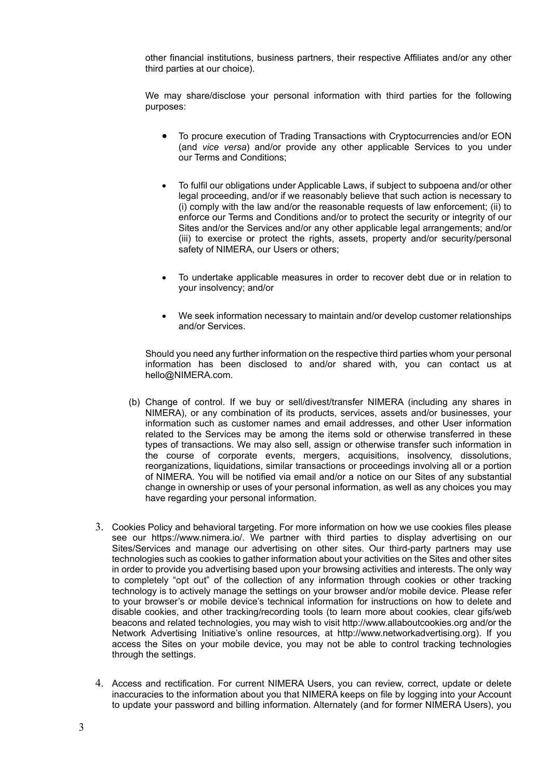other financial institutions, business partners, their respective Affiliates and/or any other third parties at our choice).

We may share/disclose your personal information with third parties for the following purposes:

- To procure execution of Trading Transactions with Cryptocurrencies and/or EON (and *vice versa*) and/or provide any other applicable Services to you under our Terms and Conditions;
- To fulfil our obligations under Applicable Laws, if subject to subpoena and/or other legal proceeding, and/or if we reasonably believe that such action is necessary to (i) comply with the law and/or the reasonable requests of law enforcement; (ii) to enforce our Terms and Conditions and/or to protect the security or integrity of our Sites and/or the Services and/or any other applicable legal arrangements; and/or (iii) to exercise or protect the rights, assets, property and/or security/personal safety of NIMERA, our Users or others:
- To undertake applicable measures in order to recover debt due or in relation to your insolvency; and/or
- We seek information necessary to maintain and/or develop customer relationships and/or Services.

Should you need any further information on the respective third parties whom your personal information has been disclosed to and/or shared with, you can contact us at hello@NIMERA.com.

- (b) Change of control. If we buy or sell/divest/transfer NIMERA (including any shares in NIMERA), or any combination of its products, services, assets and/or businesses, your information such as customer names and email addresses, and other User information related to the Services may be among the items sold or otherwise transferred in these types of transactions. We may also sell, assign or otherwise transfer such information in the course of corporate events, mergers, acquisitions, insolvency, dissolutions, reorganizations, liquidations, similar transactions or proceedings involving all or a portion of NIMERA. You will be notified via email and/or a notice on our Sites of any substantial change in ownership or uses of your personal information, as well as any choices you may have regarding your personal information.
- 3. Cookies Policy and behavioral targeting. For more information on how we use cookies files please see our https://www.nimera.io/. We partner with third parties to display advertising on our Sites/Services and manage our advertising on other sites. Our third-party partners may use technologies such as cookies to gather information about your activities on the Sites and other sites in order to provide you advertising based upon your browsing activities and interests. The only way to completely "opt out" of the collection of any information through cookies or other tracking technology is to actively manage the settings on your browser and/or mobile device. Please refer to your browser's or mobile device's technical information for instructions on how to delete and disable cookies, and other tracking/recording tools (to learn more about cookies, clear gifs/web beacons and related technologies, you may wish to visit [http://www.allaboutcookies.org](http://www.allaboutcookies.org/) and/or the Network Advertising Initiative's online resources, at [http://www.networkadvertising.org\)](http://www.networkadvertising.org/). If you access the Sites on your mobile device, you may not be able to control tracking technologies through the settings.
- 4. Access and rectification. For current NIMERA Users, you can review, correct, update or delete inaccuracies to the information about you that NIMERA keeps on file by logging into your Account to update your password and billing information. Alternately (and for former NIMERA Users), you